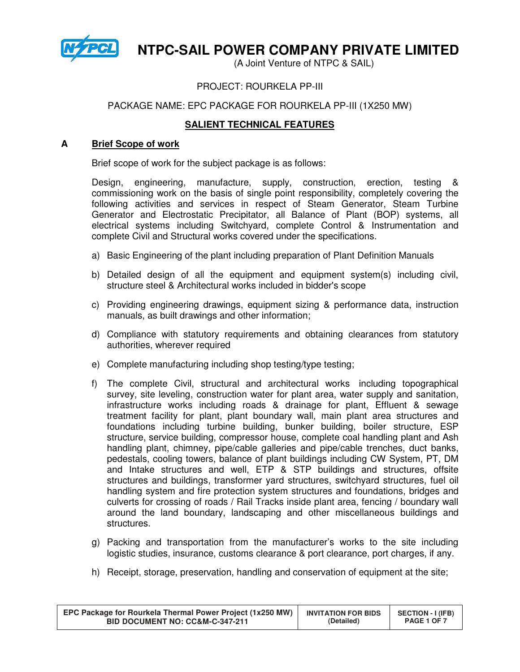

# **NTPC-SAIL POWER COMPANY PRIVATE LIMITED**

(A Joint Venture of NTPC & SAIL)

# PROJECT: ROURKELA PP-III

# PACKAGE NAME: EPC PACKAGE FOR ROURKELA PP-III (1X250 MW)

# **SALIENT TECHNICAL FEATURES**

### **A Brief Scope of work**

Brief scope of work for the subject package is as follows:

Design, engineering, manufacture, supply, construction, erection, testing & commissioning work on the basis of single point responsibility, completely covering the following activities and services in respect of Steam Generator, Steam Turbine Generator and Electrostatic Precipitator, all Balance of Plant (BOP) systems, all electrical systems including Switchyard, complete Control & Instrumentation and complete Civil and Structural works covered under the specifications.

- a) Basic Engineering of the plant including preparation of Plant Definition Manuals
- b) Detailed design of all the equipment and equipment system(s) including civil, structure steel & Architectural works included in bidder's scope
- c) Providing engineering drawings, equipment sizing & performance data, instruction manuals, as built drawings and other information;
- d) Compliance with statutory requirements and obtaining clearances from statutory authorities, wherever required
- e) Complete manufacturing including shop testing/type testing;
- f) The complete Civil, structural and architectural works including topographical survey, site leveling, construction water for plant area, water supply and sanitation, infrastructure works including roads & drainage for plant, Effluent & sewage treatment facility for plant, plant boundary wall, main plant area structures and foundations including turbine building, bunker building, boiler structure, ESP structure, service building, compressor house, complete coal handling plant and Ash handling plant, chimney, pipe/cable galleries and pipe/cable trenches, duct banks, pedestals, cooling towers, balance of plant buildings including CW System, PT, DM and Intake structures and well, ETP & STP buildings and structures, offsite structures and buildings, transformer yard structures, switchyard structures, fuel oil handling system and fire protection system structures and foundations, bridges and culverts for crossing of roads / Rail Tracks inside plant area, fencing / boundary wall around the land boundary, landscaping and other miscellaneous buildings and structures.
- g) Packing and transportation from the manufacturer's works to the site including logistic studies, insurance, customs clearance & port clearance, port charges, if any.
- h) Receipt, storage, preservation, handling and conservation of equipment at the site;

| EPC Package for Rourkela Thermal Power Project (1x250 MW) | <b>INVITATION FOR BIDS</b> | <b>SECTION - I (IFB)</b> |
|-----------------------------------------------------------|----------------------------|--------------------------|
| BID DOCUMENT NO: CC&M-C-347-211                           | (Detailed)                 | PAGE 1 OF 7              |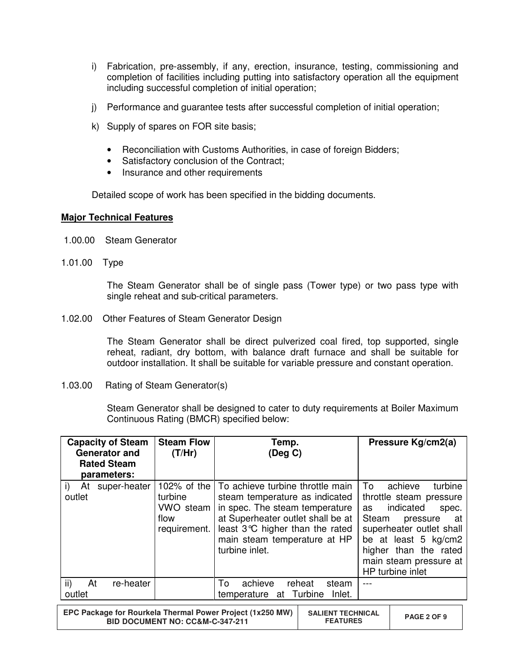- i) Fabrication, pre-assembly, if any, erection, insurance, testing, commissioning and completion of facilities including putting into satisfactory operation all the equipment including successful completion of initial operation;
- j) Performance and guarantee tests after successful completion of initial operation;
- k) Supply of spares on FOR site basis;
	- Reconciliation with Customs Authorities, in case of foreign Bidders;
	- Satisfactory conclusion of the Contract;
	- Insurance and other requirements

Detailed scope of work has been specified in the bidding documents.

## **Major Technical Features**

- 1.00.00 Steam Generator
- 1.01.00 Type

The Steam Generator shall be of single pass (Tower type) or two pass type with single reheat and sub-critical parameters.

1.02.00 Other Features of Steam Generator Design

The Steam Generator shall be direct pulverized coal fired, top supported, single reheat, radiant, dry bottom, with balance draft furnace and shall be suitable for outdoor installation. It shall be suitable for variable pressure and constant operation.

1.03.00 Rating of Steam Generator(s)

Steam Generator shall be designed to cater to duty requirements at Boiler Maximum Continuous Rating (BMCR) specified below:

| <b>Capacity of Steam</b><br><b>Generator and</b><br><b>Rated Steam</b><br>parameters: | <b>Steam Flow</b><br>(T/Hr)                  | Temp.<br>$($ Deg C $)$                                                                                                                                                                                                                       | Pressure Kg/cm2(a)                                                                                                                                                                                                                      |
|---------------------------------------------------------------------------------------|----------------------------------------------|----------------------------------------------------------------------------------------------------------------------------------------------------------------------------------------------------------------------------------------------|-----------------------------------------------------------------------------------------------------------------------------------------------------------------------------------------------------------------------------------------|
| At super-heater<br>i)<br>outlet                                                       | turbine<br>VWO steam<br>flow<br>requirement. | 102% of the   To achieve turbine throttle main<br>steam temperature as indicated<br>in spec. The steam temperature<br>at Superheater outlet shall be at<br>least 3°C higher than the rated<br>main steam temperature at HP<br>turbine inlet. | Τo<br>achieve<br>turbine<br>throttle steam pressure<br>indicated<br>as<br>spec.<br>Steam<br>pressure<br>at a<br>superheater outlet shall<br>be at least 5 kg/cm2<br>higher than the rated<br>main steam pressure at<br>HP turbine inlet |
| $\mathsf{ii}$<br>At<br>re-heater<br>outlet                                            |                                              | achieve<br>To<br>reheat<br>steam<br>temperature at Turbine<br>Inlet.                                                                                                                                                                         |                                                                                                                                                                                                                                         |
|                                                                                       |                                              |                                                                                                                                                                                                                                              |                                                                                                                                                                                                                                         |

| EPC Package for Rourkela Thermal Power Project (1x250 MW)<br>BID DOCUMENT NO: CC&M-C-347-211 | <b>SALIENT TECHNICAL</b><br><b>FEATURES</b> | PAGE 2 OF 9 |
|----------------------------------------------------------------------------------------------|---------------------------------------------|-------------|
|----------------------------------------------------------------------------------------------|---------------------------------------------|-------------|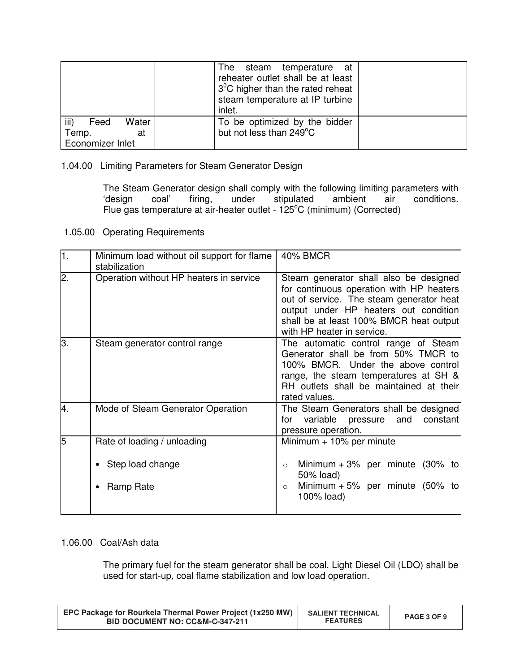|                       | The steam<br>temperature at<br>reheater outlet shall be at least<br>$3^{\circ}$ C higher than the rated reheat<br>steam temperature at IP turbine<br>inlet. |  |
|-----------------------|-------------------------------------------------------------------------------------------------------------------------------------------------------------|--|
| iii)<br>Water<br>Feed | To be optimized by the bidder                                                                                                                               |  |
| Temp.<br>at           | but not less than 249°C                                                                                                                                     |  |
| Economizer Inlet      |                                                                                                                                                             |  |

1.04.00 Limiting Parameters for Steam Generator Design

The Steam Generator design shall comply with the following limiting parameters with 'design coal' firing, under stipulated ambient air conditions. 'design coal' firing, under stipulated ambient air Flue gas temperature at air-heater outlet - 125°C (minimum) (Corrected)

1.05.00 Operating Requirements

| $\overline{1}$ . | Minimum load without oil support for flame<br>stabilization | 40% BMCR                                                                                                                                                                                                                                         |
|------------------|-------------------------------------------------------------|--------------------------------------------------------------------------------------------------------------------------------------------------------------------------------------------------------------------------------------------------|
| $\overline{2}$ . | Operation without HP heaters in service                     | Steam generator shall also be designed<br>for continuous operation with HP heaters<br>out of service. The steam generator heat<br>output under HP heaters out condition<br>shall be at least 100% BMCR heat output<br>with HP heater in service. |
| З.               | Steam generator control range                               | The automatic control range of Steam<br>Generator shall be from 50% TMCR to<br>100% BMCR. Under the above control<br>range, the steam temperatures at SH &<br>RH outlets shall be maintained at their<br>rated values.                           |
| 4.               | Mode of Steam Generator Operation                           | The Steam Generators shall be designed<br>variable pressure and<br>constant<br>for<br>pressure operation.                                                                                                                                        |
| 5                | Rate of loading / unloading                                 | Minimum $+10\%$ per minute                                                                                                                                                                                                                       |
|                  | Step load change                                            | Minimum + 3% per minute $(30\%$ to<br>$\circ$<br>50% load)                                                                                                                                                                                       |
|                  | Ramp Rate                                                   | Minimum $+5\%$ per minute (50% to<br>$\circ$<br>100% load)                                                                                                                                                                                       |

# 1.06.00 Coal/Ash data

The primary fuel for the steam generator shall be coal. Light Diesel Oil (LDO) shall be used for start-up, coal flame stabilization and low load operation.

| EPC Package for Rourkela Thermal Power Project (1x250 MW)<br><b>BID DOCUMENT NO: CC&amp;M-C-347-211</b> | <b>SALIENT TECHNICAL</b><br><b>FEATURES</b> | PAGE 3 OF 9 |
|---------------------------------------------------------------------------------------------------------|---------------------------------------------|-------------|
|---------------------------------------------------------------------------------------------------------|---------------------------------------------|-------------|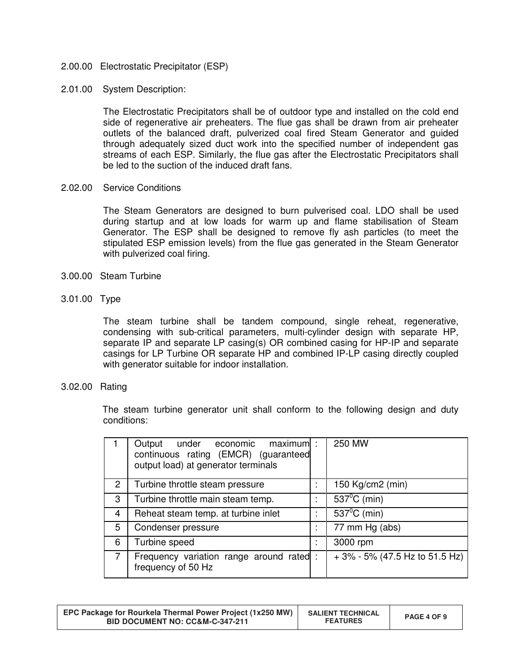- 2.00.00 Electrostatic Precipitator (ESP)
- 2.01.00 System Description:

The Electrostatic Precipitators shall be of outdoor type and installed on the cold end side of regenerative air preheaters. The flue gas shall be drawn from air preheater outlets of the balanced draft, pulverized coal fired Steam Generator and guided through adequately sized duct work into the specified number of independent gas streams of each ESP. Similarly, the flue gas after the Electrostatic Precipitators shall be led to the suction of the induced draft fans.

2.02.00 Service Conditions

The Steam Generators are designed to burn pulverised coal. LDO shall be used during startup and at low loads for warm up and flame stabilisation of Steam Generator. The ESP shall be designed to remove fly ash particles (to meet the stipulated ESP emission levels) from the flue gas generated in the Steam Generator with pulverized coal firing.

- 3.00.00 Steam Turbine
- 3.01.00 Type

The steam turbine shall be tandem compound, single reheat, regenerative, condensing with sub-critical parameters, multi-cylinder design with separate HP, separate IP and separate LP casing(s) OR combined casing for HP-IP and separate casings for LP Turbine OR separate HP and combined IP-LP casing directly coupled with generator suitable for indoor installation.

3.02.00 Rating

 The steam turbine generator unit shall conform to the following design and duty conditions:

|                | $maximum$ :<br>Output<br>under economic<br>continuous rating (EMCR) (guaranteed<br>output load) at generator terminals |  | 250 MW                            |
|----------------|------------------------------------------------------------------------------------------------------------------------|--|-----------------------------------|
| $\overline{2}$ | Turbine throttle steam pressure                                                                                        |  | 150 Kg/cm2 (min)                  |
| 3              | Turbine throttle main steam temp.                                                                                      |  | $537^{\circ}$ C (min)             |
| 4              | Reheat steam temp. at turbine inlet                                                                                    |  | $\overline{537^0C}$ (min)         |
| 5              | Condenser pressure                                                                                                     |  | 77 mm Hg (abs)                    |
| 6              | Turbine speed                                                                                                          |  | 3000 rpm                          |
| $\overline{7}$ | Frequency variation range around rated :<br>frequency of 50 Hz                                                         |  | $+3\% - 5\%$ (47.5 Hz to 51.5 Hz) |

| EPC Package for Rourkela Thermal Power Project (1x250 MW)<br>BID DOCUMENT NO: CC&M-C-347-211 | <b>SALIENT TECHNICAL</b><br><b>FEATURES</b> | PAGE 4 OF 9 |
|----------------------------------------------------------------------------------------------|---------------------------------------------|-------------|
|----------------------------------------------------------------------------------------------|---------------------------------------------|-------------|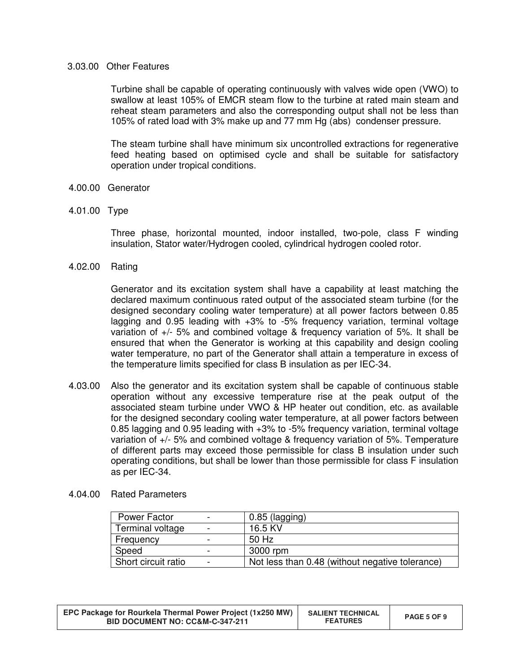## 3.03.00 Other Features

Turbine shall be capable of operating continuously with valves wide open (VWO) to swallow at least 105% of EMCR steam flow to the turbine at rated main steam and reheat steam parameters and also the corresponding output shall not be less than 105% of rated load with 3% make up and 77 mm Hg (abs) condenser pressure.

The steam turbine shall have minimum six uncontrolled extractions for regenerative feed heating based on optimised cycle and shall be suitable for satisfactory operation under tropical conditions.

- 4.00.00 Generator
- 4.01.00 Type

 Three phase, horizontal mounted, indoor installed, two-pole, class F winding insulation, Stator water/Hydrogen cooled, cylindrical hydrogen cooled rotor.

4.02.00 Rating

Generator and its excitation system shall have a capability at least matching the declared maximum continuous rated output of the associated steam turbine (for the designed secondary cooling water temperature) at all power factors between 0.85 lagging and 0.95 leading with +3% to -5% frequency variation, terminal voltage variation of +/- 5% and combined voltage & frequency variation of 5%. It shall be ensured that when the Generator is working at this capability and design cooling water temperature, no part of the Generator shall attain a temperature in excess of the temperature limits specified for class B insulation as per IEC-34.

- 4.03.00 Also the generator and its excitation system shall be capable of continuous stable operation without any excessive temperature rise at the peak output of the associated steam turbine under VWO & HP heater out condition, etc. as available for the designed secondary cooling water temperature, at all power factors between 0.85 lagging and 0.95 leading with +3% to -5% frequency variation, terminal voltage variation of +/- 5% and combined voltage & frequency variation of 5%. Temperature of different parts may exceed those permissible for class B insulation under such operating conditions, but shall be lower than those permissible for class F insulation as per IEC-34.
- 4.04.00 Rated Parameters

| <b>Power Factor</b> |   | $0.85$ (lagging)                                |
|---------------------|---|-------------------------------------------------|
| Terminal voltage    |   | 16.5 KV                                         |
| Frequency           |   | 50 Hz                                           |
| Speed               | - | 3000 rpm                                        |
| Short circuit ratio |   | Not less than 0.48 (without negative tolerance) |

| EPC Package for Rourkela Thermal Power Project (1x250 MW)<br>BID DOCUMENT NO: CC&M-C-347-211 | <b>SALIENT TECHNICAL</b><br><b>FEATURES</b> | PAGE 5 OF 9 |
|----------------------------------------------------------------------------------------------|---------------------------------------------|-------------|
|----------------------------------------------------------------------------------------------|---------------------------------------------|-------------|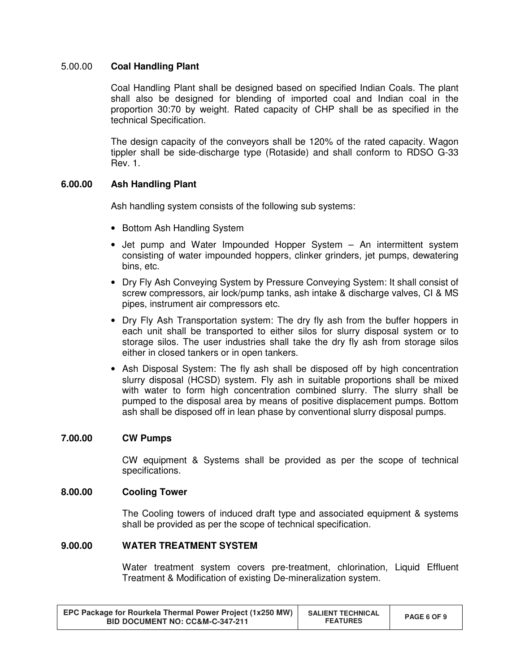## 5.00.00 **Coal Handling Plant**

Coal Handling Plant shall be designed based on specified Indian Coals. The plant shall also be designed for blending of imported coal and Indian coal in the proportion 30:70 by weight. Rated capacity of CHP shall be as specified in the technical Specification.

The design capacity of the conveyors shall be 120% of the rated capacity. Wagon tippler shall be side-discharge type (Rotaside) and shall conform to RDSO G-33 Rev. 1.

## **6.00.00 Ash Handling Plant**

Ash handling system consists of the following sub systems:

- Bottom Ash Handling System
- Jet pump and Water Impounded Hopper System An intermittent system consisting of water impounded hoppers, clinker grinders, jet pumps, dewatering bins, etc.
- Dry Fly Ash Conveying System by Pressure Conveying System: It shall consist of screw compressors, air lock/pump tanks, ash intake & discharge valves, CI & MS pipes, instrument air compressors etc.
- Dry Fly Ash Transportation system: The dry fly ash from the buffer hoppers in each unit shall be transported to either silos for slurry disposal system or to storage silos. The user industries shall take the dry fly ash from storage silos either in closed tankers or in open tankers.
- Ash Disposal System: The fly ash shall be disposed off by high concentration slurry disposal (HCSD) system. Fly ash in suitable proportions shall be mixed with water to form high concentration combined slurry. The slurry shall be pumped to the disposal area by means of positive displacement pumps. Bottom ash shall be disposed off in lean phase by conventional slurry disposal pumps.

### **7.00.00 CW Pumps**

CW equipment & Systems shall be provided as per the scope of technical specifications.

### **8.00.00 Cooling Tower**

The Cooling towers of induced draft type and associated equipment & systems shall be provided as per the scope of technical specification.

## **9.00.00 WATER TREATMENT SYSTEM**

Water treatment system covers pre-treatment, chlorination, Liquid Effluent Treatment & Modification of existing De-mineralization system.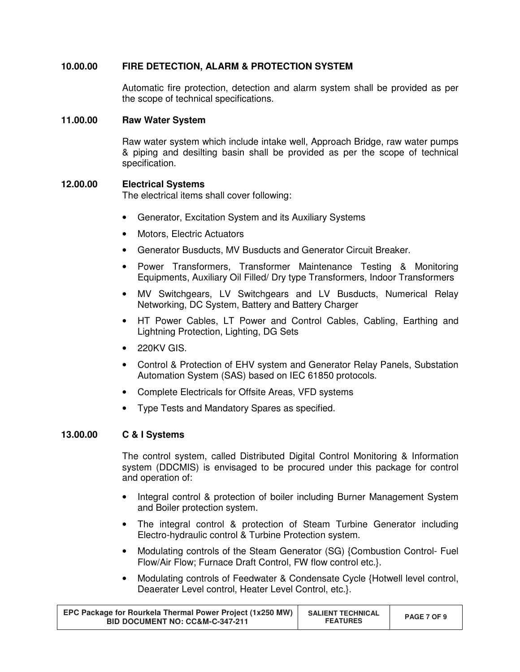# **10.00.00 FIRE DETECTION, ALARM & PROTECTION SYSTEM**

Automatic fire protection, detection and alarm system shall be provided as per the scope of technical specifications.

#### **11.00.00 Raw Water System**

Raw water system which include intake well, Approach Bridge, raw water pumps & piping and desilting basin shall be provided as per the scope of technical specification.

### **12.00.00 Electrical Systems**

The electrical items shall cover following:

- Generator, Excitation System and its Auxiliary Systems
- Motors, Electric Actuators
- Generator Busducts, MV Busducts and Generator Circuit Breaker.
- Power Transformers, Transformer Maintenance Testing & Monitoring Equipments, Auxiliary Oil Filled/ Dry type Transformers, Indoor Transformers
- MV Switchgears, LV Switchgears and LV Busducts, Numerical Relay Networking, DC System, Battery and Battery Charger
- HT Power Cables, LT Power and Control Cables, Cabling, Earthing and Lightning Protection, Lighting, DG Sets
- 220KV GIS.
- Control & Protection of EHV system and Generator Relay Panels, Substation Automation System (SAS) based on IEC 61850 protocols.
- Complete Electricals for Offsite Areas, VFD systems
- Type Tests and Mandatory Spares as specified.

# **13.00.00 C & I Systems**

The control system, called Distributed Digital Control Monitoring & Information system (DDCMIS) is envisaged to be procured under this package for control and operation of:

- Integral control & protection of boiler including Burner Management System and Boiler protection system.
- The integral control & protection of Steam Turbine Generator including Electro-hydraulic control & Turbine Protection system.
- Modulating controls of the Steam Generator (SG) {Combustion Control- Fuel Flow/Air Flow; Furnace Draft Control, FW flow control etc.}.
- Modulating controls of Feedwater & Condensate Cycle {Hotwell level control, Deaerater Level control, Heater Level Control, etc.}.

| EPC Package for Rourkela Thermal Power Project (1x250 MW)<br><b>BID DOCUMENT NO: CC&amp;M-C-347-211</b> | <b>SALIENT TECHNICAL</b><br><b>FEATURES</b> | PAGE 7 OF 9 |
|---------------------------------------------------------------------------------------------------------|---------------------------------------------|-------------|
|---------------------------------------------------------------------------------------------------------|---------------------------------------------|-------------|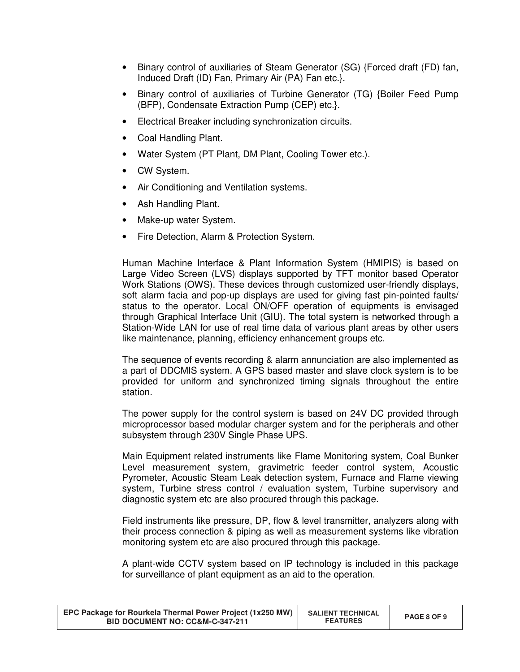- Binary control of auxiliaries of Steam Generator (SG) {Forced draft (FD) fan, Induced Draft (ID) Fan, Primary Air (PA) Fan etc.}.
- Binary control of auxiliaries of Turbine Generator (TG) {Boiler Feed Pump (BFP), Condensate Extraction Pump (CEP) etc.}.
- Electrical Breaker including synchronization circuits.
- Coal Handling Plant.
- Water System (PT Plant, DM Plant, Cooling Tower etc.).
- CW System.
- Air Conditioning and Ventilation systems.
- Ash Handling Plant.
- Make-up water System.
- Fire Detection, Alarm & Protection System.

Human Machine Interface & Plant Information System (HMIPIS) is based on Large Video Screen (LVS) displays supported by TFT monitor based Operator Work Stations (OWS). These devices through customized user-friendly displays, soft alarm facia and pop-up displays are used for giving fast pin-pointed faults/ status to the operator. Local ON/OFF operation of equipments is envisaged through Graphical Interface Unit (GIU). The total system is networked through a Station-Wide LAN for use of real time data of various plant areas by other users like maintenance, planning, efficiency enhancement groups etc.

The sequence of events recording & alarm annunciation are also implemented as a part of DDCMIS system. A GPS based master and slave clock system is to be provided for uniform and synchronized timing signals throughout the entire station.

The power supply for the control system is based on 24V DC provided through microprocessor based modular charger system and for the peripherals and other subsystem through 230V Single Phase UPS.

Main Equipment related instruments like Flame Monitoring system, Coal Bunker Level measurement system, gravimetric feeder control system, Acoustic Pyrometer, Acoustic Steam Leak detection system, Furnace and Flame viewing system, Turbine stress control / evaluation system, Turbine supervisory and diagnostic system etc are also procured through this package.

Field instruments like pressure, DP, flow & level transmitter, analyzers along with their process connection & piping as well as measurement systems like vibration monitoring system etc are also procured through this package.

A plant-wide CCTV system based on IP technology is included in this package for surveillance of plant equipment as an aid to the operation.

| EPC Package for Rourkela Thermal Power Project (1x250 MW)<br><b>BID DOCUMENT NO: CC&amp;M-C-347-211</b> | <b>SALIENT TECHNICAL</b><br><b>FEATURES</b> | PAGE 8 OF 9 |
|---------------------------------------------------------------------------------------------------------|---------------------------------------------|-------------|
|---------------------------------------------------------------------------------------------------------|---------------------------------------------|-------------|